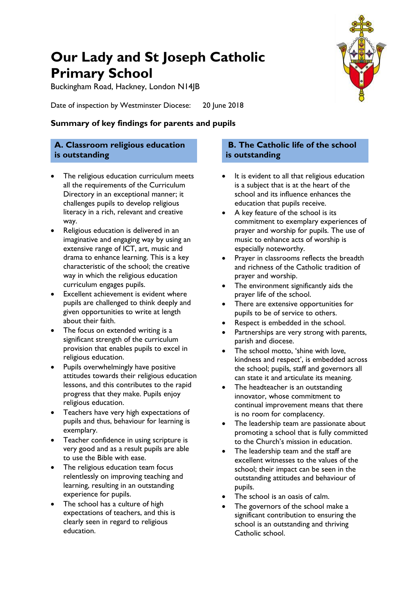# **Our Lady and St Joseph Catholic Primary School**

Buckingham Road, Hackney, London N14JB

Date of inspection by Westminster Diocese: 20 June 2018

## **Summary of key findings for parents and pupils**

## **A. Classroom religious education is outstanding**

- The religious education curriculum meets all the requirements of the Curriculum Directory in an exceptional manner; it challenges pupils to develop religious literacy in a rich, relevant and creative way.
- Religious education is delivered in an imaginative and engaging way by using an extensive range of ICT, art, music and drama to enhance learning. This is a key characteristic of the school; the creative way in which the religious education curriculum engages pupils.
- Excellent achievement is evident where pupils are challenged to think deeply and given opportunities to write at length about their faith.
- The focus on extended writing is a significant strength of the curriculum provision that enables pupils to excel in religious education.
- Pupils overwhelmingly have positive attitudes towards their religious education lessons, and this contributes to the rapid progress that they make. Pupils enjoy religious education.
- Teachers have very high expectations of pupils and thus, behaviour for learning is exemplary.
- Teacher confidence in using scripture is very good and as a result pupils are able to use the Bible with ease.
- The religious education team focus relentlessly on improving teaching and learning, resulting in an outstanding experience for pupils.
- The school has a culture of high expectations of teachers, and this is clearly seen in regard to religious education.

### **B. The Catholic life of the school is outstanding**

- It is evident to all that religious education is a subject that is at the heart of the school and its influence enhances the education that pupils receive.
- A key feature of the school is its commitment to exemplary experiences of prayer and worship for pupils. The use of music to enhance acts of worship is especially noteworthy.
- Prayer in classrooms reflects the breadth and richness of the Catholic tradition of prayer and worship.
- The environment significantly aids the prayer life of the school.
- There are extensive opportunities for pupils to be of service to others.
- Respect is embedded in the school.
- Partnerships are very strong with parents, parish and diocese.
- The school motto, 'shine with love, kindness and respect', is embedded across the school; pupils, staff and governors all can state it and articulate its meaning.
- The headteacher is an outstanding innovator, whose commitment to continual improvement means that there is no room for complacency.
- The leadership team are passionate about promoting a school that is fully committed to the Church's mission in education.
- The leadership team and the staff are excellent witnesses to the values of the school; their impact can be seen in the outstanding attitudes and behaviour of pupils.
- The school is an oasis of calm.
- The governors of the school make a significant contribution to ensuring the school is an outstanding and thriving Catholic school.

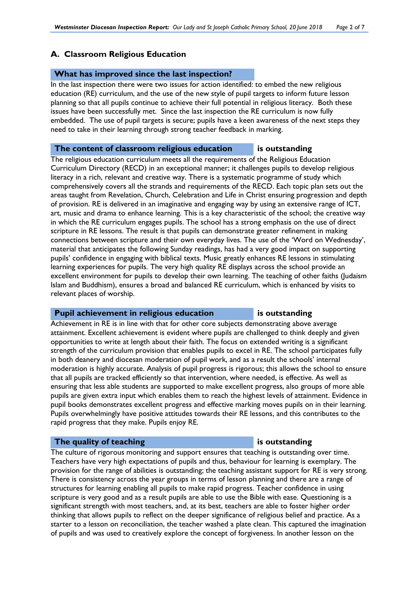### **A. Classroom Religious Education**

### **What has improved since the last inspection?**

In the last inspection there were two issues for action identified: to embed the new religious education (RE) curriculum, and the use of the new style of pupil targets to inform future lesson planning so that all pupils continue to achieve their full potential in religious literacy. Both these issues have been successfully met. Since the last inspection the RE curriculum is now fully embedded. The use of pupil targets is secure; pupils have a keen awareness of the next steps they need to take in their learning through strong teacher feedback in marking.

### **The content of classroom religious education is outstanding**

The religious education curriculum meets all the requirements of the Religious Education Curriculum Directory (RECD) in an exceptional manner; it challenges pupils to develop religious literacy in a rich, relevant and creative way. There is a systematic programme of study which comprehensively covers all the strands and requirements of the RECD. Each topic plan sets out the areas taught from Revelation, Church, Celebration and Life in Christ ensuring progression and depth of provision. RE is delivered in an imaginative and engaging way by using an extensive range of ICT, art, music and drama to enhance learning. This is a key characteristic of the school; the creative way in which the RE curriculum engages pupils. The school has a strong emphasis on the use of direct scripture in RE lessons. The result is that pupils can demonstrate greater refinement in making connections between scripture and their own everyday lives. The use of the 'Word on Wednesday', material that anticipates the following Sunday readings, has had a very good impact on supporting pupils' confidence in engaging with biblical texts. Music greatly enhances RE lessons in stimulating learning experiences for pupils. The very high quality RE displays across the school provide an excellent environment for pupils to develop their own learning. The teaching of other faiths (Judaism Islam and Buddhism), ensures a broad and balanced RE curriculum, which is enhanced by visits to relevant places of worship.

### **Pupil achievement in religious education** is outstanding

Achievement in RE is in line with that for other core subjects demonstrating above average attainment. Excellent achievement is evident where pupils are challenged to think deeply and given opportunities to write at length about their faith. The focus on extended writing is a significant strength of the curriculum provision that enables pupils to excel in RE. The school participates fully in both deanery and diocesan moderation of pupil work, and as a result the schools' internal moderation is highly accurate. Analysis of pupil progress is rigorous; this allows the school to ensure that all pupils are tracked efficiently so that intervention, where needed, is effective. As well as ensuring that less able students are supported to make excellent progress, also groups of more able pupils are given extra input which enables them to reach the highest levels of attainment. Evidence in pupil books demonstrates excellent progress and effective marking moves pupils on in their learning. Pupils overwhelmingly have positive attitudes towards their RE lessons, and this contributes to the rapid progress that they make. Pupils enjoy RE.

### **The quality of teaching is outstanding**

The culture of rigorous monitoring and support ensures that teaching is outstanding over time. Teachers have very high expectations of pupils and thus, behaviour for learning is exemplary. The provision for the range of abilities is outstanding; the teaching assistant support for RE is very strong. There is consistency across the year groups in terms of lesson planning and there are a range of structures for learning enabling all pupils to make rapid progress. Teacher confidence in using scripture is very good and as a result pupils are able to use the Bible with ease. Questioning is a significant strength with most teachers, and, at its best, teachers are able to foster higher order thinking that allows pupils to reflect on the deeper significance of religious belief and practice. As a starter to a lesson on reconciliation, the teacher washed a plate clean. This captured the imagination of pupils and was used to creatively explore the concept of forgiveness. In another lesson on the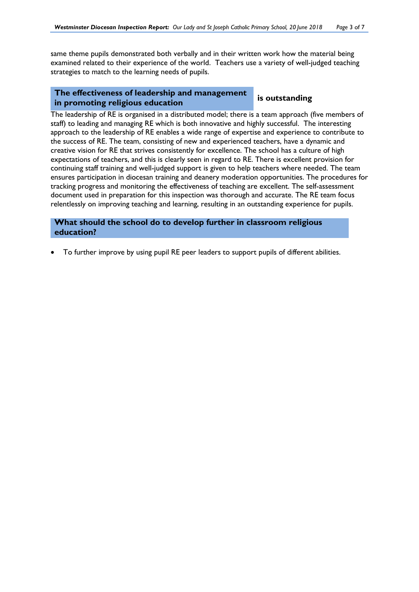same theme pupils demonstrated both verbally and in their written work how the material being examined related to their experience of the world. Teachers use a variety of well-judged teaching strategies to match to the learning needs of pupils.

### **The effectiveness of leadership and management in promoting religious education is outstanding**

The leadership of RE is organised in a distributed model; there is a team approach (five members of staff) to leading and managing RE which is both innovative and highly successful. The interesting approach to the leadership of RE enables a wide range of expertise and experience to contribute to the success of RE. The team, consisting of new and experienced teachers, have a dynamic and creative vision for RE that strives consistently for excellence. The school has a culture of high expectations of teachers, and this is clearly seen in regard to RE. There is excellent provision for continuing staff training and well-judged support is given to help teachers where needed. The team ensures participation in diocesan training and deanery moderation opportunities. The procedures for tracking progress and monitoring the effectiveness of teaching are excellent. The self-assessment document used in preparation for this inspection was thorough and accurate. The RE team focus relentlessly on improving teaching and learning, resulting in an outstanding experience for pupils.

### **What should the school do to develop further in classroom religious education?**

To further improve by using pupil RE peer leaders to support pupils of different abilities.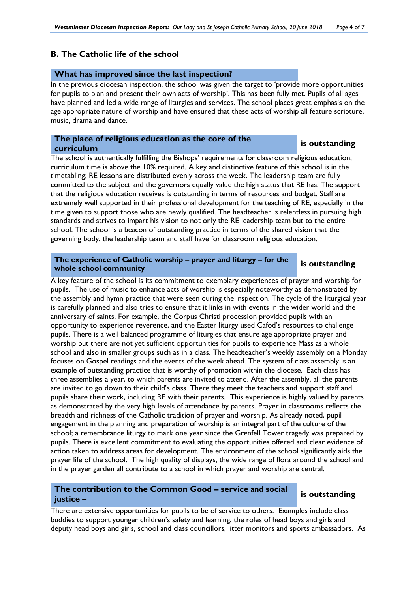### **B. The Catholic life of the school**

### **What has improved since the last inspection?**

In the previous diocesan inspection, the school was given the target to 'provide more opportunities for pupils to plan and present their own acts of worship'. This has been fully met. Pupils of all ages have planned and led a wide range of liturgies and services. The school places great emphasis on the age appropriate nature of worship and have ensured that these acts of worship all feature scripture, music, drama and dance.

# **The place of religious education as the core of the curriculum is outstanding**

The school is authentically fulfilling the Bishops' requirements for classroom religious education; curriculum time is above the 10% required. A key and distinctive feature of this school is in the timetabling; RE lessons are distributed evenly across the week. The leadership team are fully committed to the subject and the governors equally value the high status that RE has. The support that the religious education receives is outstanding in terms of resources and budget. Staff are extremely well supported in their professional development for the teaching of RE, especially in the time given to support those who are newly qualified. The headteacher is relentless in pursuing high standards and strives to impart his vision to not only the RE leadership team but to the entire school. The school is a beacon of outstanding practice in terms of the shared vision that the governing body, the leadership team and staff have for classroom religious education.

# **The experience of Catholic worship – prayer and liturgy – for the whole school community is outstanding**

A key feature of the school is its commitment to exemplary experiences of prayer and worship for pupils. The use of music to enhance acts of worship is especially noteworthy as demonstrated by the assembly and hymn practice that were seen during the inspection. The cycle of the liturgical year is carefully planned and also tries to ensure that it links in with events in the wider world and the anniversary of saints. For example, the Corpus Christi procession provided pupils with an opportunity to experience reverence, and the Easter liturgy used Cafod's resources to challenge pupils. There is a well balanced programme of liturgies that ensure age appropriate prayer and worship but there are not yet sufficient opportunities for pupils to experience Mass as a whole school and also in smaller groups such as in a class. The headteacher's weekly assembly on a Monday focuses on Gospel readings and the events of the week ahead. The system of class assembly is an example of outstanding practice that is worthy of promotion within the diocese. Each class has three assemblies a year, to which parents are invited to attend. After the assembly, all the parents are invited to go down to their child's class. There they meet the teachers and support staff and pupils share their work, including RE with their parents. This experience is highly valued by parents as demonstrated by the very high levels of attendance by parents. Prayer in classrooms reflects the breadth and richness of the Catholic tradition of prayer and worship. As already noted, pupil engagement in the planning and preparation of worship is an integral part of the culture of the school; a remembrance liturgy to mark one year since the Grenfell Tower tragedy was prepared by pupils. There is excellent commitment to evaluating the opportunities offered and clear evidence of action taken to address areas for development. The environment of the school significantly aids the prayer life of the school. The high quality of displays, the wide range of flora around the school and in the prayer garden all contribute to a school in which prayer and worship are central.

# **The contribution to the Common Good – service and social justice – is outstanding**

There are extensive opportunities for pupils to be of service to others. Examples include class buddies to support younger children's safety and learning, the roles of head boys and girls and deputy head boys and girls, school and class councillors, litter monitors and sports ambassadors. As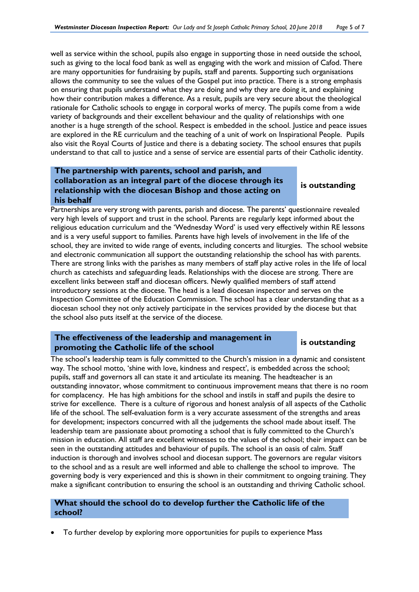well as service within the school, pupils also engage in supporting those in need outside the school, such as giving to the local food bank as well as engaging with the work and mission of Cafod. There are many opportunities for fundraising by pupils, staff and parents. Supporting such organisations allows the community to see the values of the Gospel put into practice. There is a strong emphasis on ensuring that pupils understand what they are doing and why they are doing it, and explaining how their contribution makes a difference. As a result, pupils are very secure about the theological rationale for Catholic schools to engage in corporal works of mercy. The pupils come from a wide variety of backgrounds and their excellent behaviour and the quality of relationships with one another is a huge strength of the school. Respect is embedded in the school. Justice and peace issues are explored in the RE curriculum and the teaching of a unit of work on Inspirational People. Pupils also visit the Royal Courts of Justice and there is a debating society. The school ensures that pupils understand to that call to justice and a sense of service are essential parts of their Catholic identity.

### **The partnership with parents, school and parish, and collaboration as an integral part of the diocese through its relationship with the diocesan Bishop and those acting on his behalf**

**is outstanding**

Partnerships are very strong with parents, parish and diocese. The parents' questionnaire revealed very high levels of support and trust in the school. Parents are regularly kept informed about the religious education curriculum and the 'Wednesday Word' is used very effectively within RE lessons and is a very useful support to families. Parents have high levels of involvement in the life of the school, they are invited to wide range of events, including concerts and liturgies. The school website and electronic communication all support the outstanding relationship the school has with parents. There are strong links with the parishes as many members of staff play active roles in the life of local church as catechists and safeguarding leads. Relationships with the diocese are strong. There are excellent links between staff and diocesan officers. Newly qualified members of staff attend introductory sessions at the diocese. The head is a lead diocesan inspector and serves on the Inspection Committee of the Education Commission. The school has a clear understanding that as a diocesan school they not only actively participate in the services provided by the diocese but that the school also puts itself at the service of the diocese.

### **The effectiveness of the leadership and management in promoting the Catholic life of the school is outstanding**

The school's leadership team is fully committed to the Church's mission in a dynamic and consistent way. The school motto, 'shine with love, kindness and respect', is embedded across the school; pupils, staff and governors all can state it and articulate its meaning. The headteacher is an outstanding innovator, whose commitment to continuous improvement means that there is no room for complacency. He has high ambitions for the school and instils in staff and pupils the desire to strive for excellence. There is a culture of rigorous and honest analysis of all aspects of the Catholic life of the school. The self-evaluation form is a very accurate assessment of the strengths and areas for development; inspectors concurred with all the judgements the school made about itself. The leadership team are passionate about promoting a school that is fully committed to the Church's mission in education. All staff are excellent witnesses to the values of the school; their impact can be seen in the outstanding attitudes and behaviour of pupils. The school is an oasis of calm. Staff induction is thorough and involves school and diocesan support. The governors are regular visitors to the school and as a result are well informed and able to challenge the school to improve. The governing body is very experienced and this is shown in their commitment to ongoing training. They make a significant contribution to ensuring the school is an outstanding and thriving Catholic school.

### **What should the school do to develop further the Catholic life of the school?**

To further develop by exploring more opportunities for pupils to experience Mass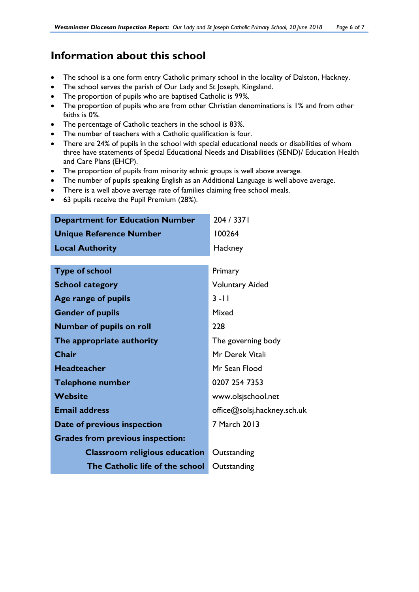# **Information about this school**

- The school is a one form entry Catholic primary school in the locality of Dalston, Hackney.
- The school serves the parish of Our Lady and St Joseph, Kingsland.
- x The proportion of pupils who are baptised Catholic is 99*%.*
- The proportion of pupils who are from other Christian denominations is 1% and from other faiths is 0*%*.
- x The percentage of Catholic teachers in the school is 83*%*.
- The number of teachers with a Catholic qualification is four.
- There are 24% of pupils in the school with special educational needs or disabilities of whom three have statements of Special Educational Needs and Disabilities (SEND)/ Education Health and Care Plans (EHCP).
- The proportion of pupils from minority ethnic groups is well above average.
- The number of pupils speaking English as an Additional Language is well above average.
- There is a well above average rate of families claiming free school meals.
- 63 pupils receive the Pupil Premium (28%).

| <b>Department for Education Number</b>  | 204 / 3371                  |
|-----------------------------------------|-----------------------------|
| <b>Unique Reference Number</b>          | 100264                      |
| <b>Local Authority</b>                  | Hackney                     |
|                                         |                             |
| <b>Type of school</b>                   | Primary                     |
| <b>School category</b>                  | <b>Voluntary Aided</b>      |
| Age range of pupils                     | $3 - 11$                    |
| <b>Gender of pupils</b>                 | Mixed                       |
| <b>Number of pupils on roll</b>         | 228                         |
| The appropriate authority               | The governing body          |
| <b>Chair</b>                            | Mr Derek Vitali             |
| <b>Headteacher</b>                      | Mr Sean Flood               |
| <b>Telephone number</b>                 | 0207 254 7353               |
| Website                                 | www.olsjschool.net          |
| <b>Email address</b>                    | office@solsj.hackney.sch.uk |
| Date of previous inspection             | 7 March 2013                |
| <b>Grades from previous inspection:</b> |                             |
| <b>Classroom religious education</b>    | Outstanding                 |
| The Catholic life of the school         | Outstanding                 |